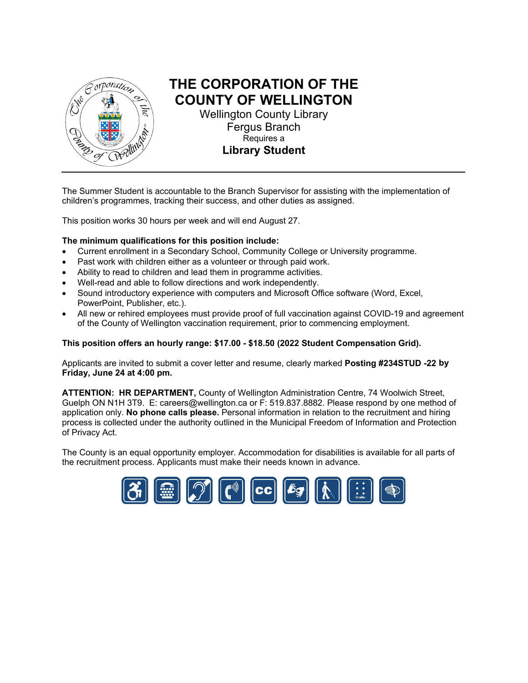

# **THE CORPORATION OF THE COUNTY OF WELLINGTON**

Wellington County Library Fergus Branch Requires a **Library Student** 

The Summer Student is accountable to the Branch Supervisor for assisting with the implementation of children's programmes, tracking their success, and other duties as assigned.

This position works 30 hours per week and will end August 27.

#### **The minimum qualifications for this position include:**

- Current enrollment in a Secondary School, Community College or University programme.
- Past work with children either as a volunteer or through paid work.
- Ability to read to children and lead them in programme activities.
- Well-read and able to follow directions and work independently.
- Sound introductory experience with computers and Microsoft Office software (Word, Excel, PowerPoint, Publisher, etc.).
- All new or rehired employees must provide proof of full vaccination against COVID-19 and agreement of the County of Wellington vaccination requirement, prior to commencing employment.

#### **This position offers an hourly range: \$17.00 - \$18.50 (2022 Student Compensation Grid).**

Applicants are invited to submit a cover letter and resume, clearly marked **Posting #234STUD -22 by Friday, June 24 at 4:00 pm.**

**ATTENTION: HR DEPARTMENT,** County of Wellington Administration Centre, 74 Woolwich Street, Guelph ON N1H 3T9. E: [careers@wellington.ca](mailto:careers@wellington.ca) or F: 519.837.8882. Please respond by one method of application only. **No phone calls please.** Personal information in relation to the recruitment and hiring process is collected under the authority outlined in the Municipal Freedom of Information and Protection of Privacy Act.

The County is an equal opportunity employer. Accommodation for disabilities is available for all parts of the recruitment process. Applicants must make their needs known in advance.